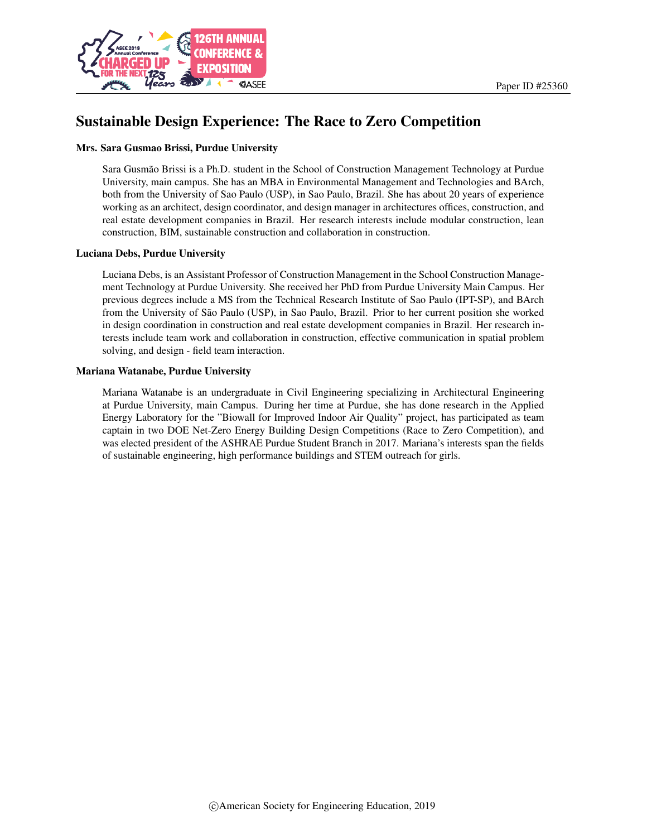

# Sustainable Design Experience: The Race to Zero Competition

#### Mrs. Sara Gusmao Brissi, Purdue University

Sara Gusmão Brissi is a Ph.D. student in the School of Construction Management Technology at Purdue University, main campus. She has an MBA in Environmental Management and Technologies and BArch, both from the University of Sao Paulo (USP), in Sao Paulo, Brazil. She has about 20 years of experience working as an architect, design coordinator, and design manager in architectures offices, construction, and real estate development companies in Brazil. Her research interests include modular construction, lean construction, BIM, sustainable construction and collaboration in construction.

#### Luciana Debs, Purdue University

Luciana Debs, is an Assistant Professor of Construction Management in the School Construction Management Technology at Purdue University. She received her PhD from Purdue University Main Campus. Her previous degrees include a MS from the Technical Research Institute of Sao Paulo (IPT-SP), and BArch from the University of São Paulo (USP), in Sao Paulo, Brazil. Prior to her current position she worked in design coordination in construction and real estate development companies in Brazil. Her research interests include team work and collaboration in construction, effective communication in spatial problem solving, and design - field team interaction.

#### Mariana Watanabe, Purdue University

Mariana Watanabe is an undergraduate in Civil Engineering specializing in Architectural Engineering at Purdue University, main Campus. During her time at Purdue, she has done research in the Applied Energy Laboratory for the "Biowall for Improved Indoor Air Quality" project, has participated as team captain in two DOE Net-Zero Energy Building Design Competitions (Race to Zero Competition), and was elected president of the ASHRAE Purdue Student Branch in 2017. Mariana's interests span the fields of sustainable engineering, high performance buildings and STEM outreach for girls.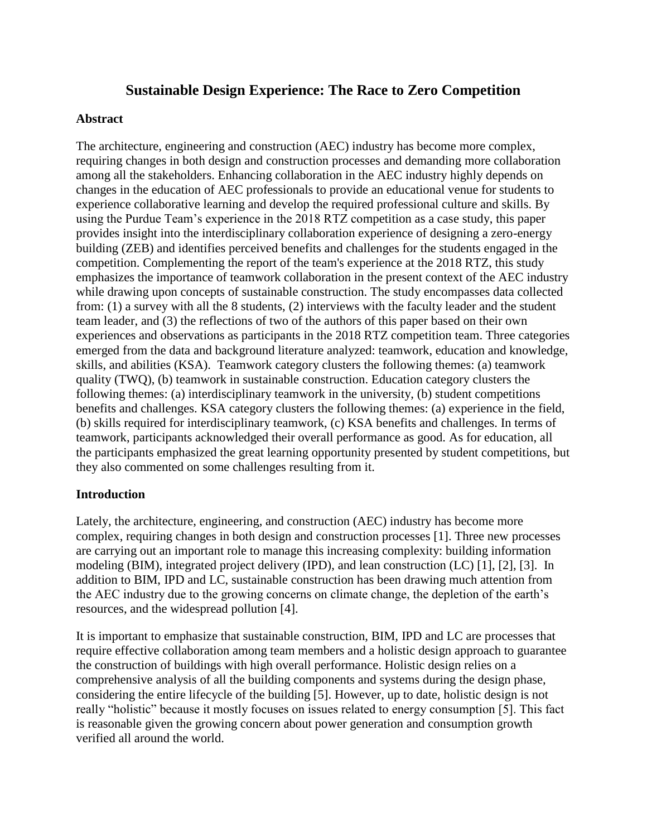# **Sustainable Design Experience: The Race to Zero Competition**

### **Abstract**

The architecture, engineering and construction (AEC) industry has become more complex, requiring changes in both design and construction processes and demanding more collaboration among all the stakeholders. Enhancing collaboration in the AEC industry highly depends on changes in the education of AEC professionals to provide an educational venue for students to experience collaborative learning and develop the required professional culture and skills. By using the Purdue Team's experience in the 2018 RTZ competition as a case study, this paper provides insight into the interdisciplinary collaboration experience of designing a zero-energy building (ZEB) and identifies perceived benefits and challenges for the students engaged in the competition. Complementing the report of the team's experience at the 2018 RTZ, this study emphasizes the importance of teamwork collaboration in the present context of the AEC industry while drawing upon concepts of sustainable construction. The study encompasses data collected from: (1) a survey with all the 8 students, (2) interviews with the faculty leader and the student team leader, and (3) the reflections of two of the authors of this paper based on their own experiences and observations as participants in the 2018 RTZ competition team. Three categories emerged from the data and background literature analyzed: teamwork, education and knowledge, skills, and abilities (KSA). Teamwork category clusters the following themes: (a) teamwork quality (TWQ), (b) teamwork in sustainable construction. Education category clusters the following themes: (a) interdisciplinary teamwork in the university, (b) student competitions benefits and challenges. KSA category clusters the following themes: (a) experience in the field, (b) skills required for interdisciplinary teamwork, (c) KSA benefits and challenges. In terms of teamwork, participants acknowledged their overall performance as good. As for education, all the participants emphasized the great learning opportunity presented by student competitions, but they also commented on some challenges resulting from it.

### **Introduction**

Lately, the architecture, engineering, and construction (AEC) industry has become more complex, requiring changes in both design and construction processes [1]. Three new processes are carrying out an important role to manage this increasing complexity: building information modeling (BIM), integrated project delivery (IPD), and lean construction (LC) [1], [2], [3]. In addition to BIM, IPD and LC, sustainable construction has been drawing much attention from the AEC industry due to the growing concerns on climate change, the depletion of the earth's resources, and the widespread pollution [4].

It is important to emphasize that sustainable construction, BIM, IPD and LC are processes that require effective collaboration among team members and a holistic design approach to guarantee the construction of buildings with high overall performance. Holistic design relies on a comprehensive analysis of all the building components and systems during the design phase, considering the entire lifecycle of the building [5]. However, up to date, holistic design is not really "holistic" because it mostly focuses on issues related to energy consumption [5]. This fact is reasonable given the growing concern about power generation and consumption growth verified all around the world.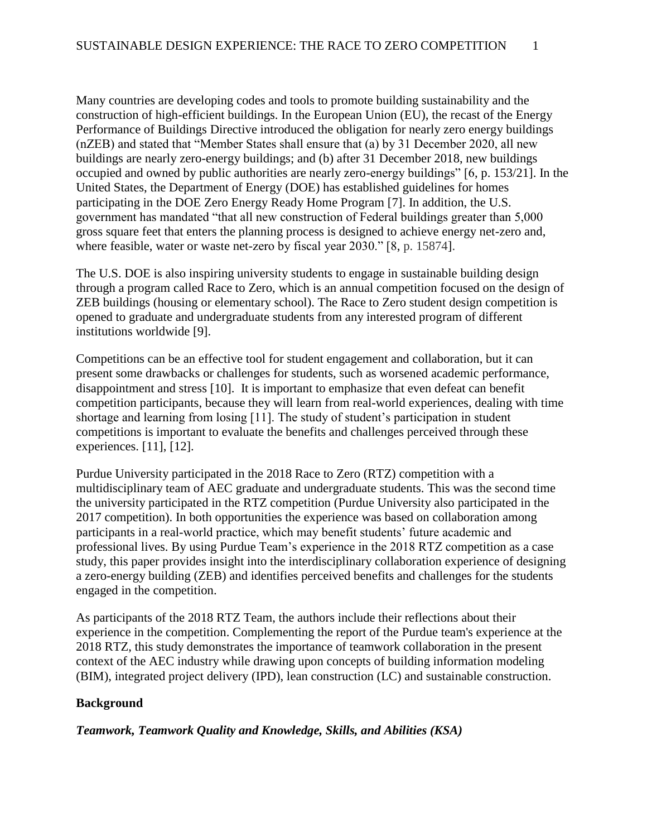Many countries are developing codes and tools to promote building sustainability and the construction of high-efficient buildings. In the European Union (EU), the recast of the Energy Performance of Buildings Directive introduced the obligation for nearly zero energy buildings (nZEB) and stated that "Member States shall ensure that (a) by 31 December 2020, all new buildings are nearly zero-energy buildings; and (b) after 31 December 2018, new buildings occupied and owned by public authorities are nearly zero-energy buildings" [6, p. 153/21]. In the United States, the Department of Energy (DOE) has established guidelines for homes participating in the DOE Zero Energy Ready Home Program [7]. In addition, the U.S. government has mandated "that all new construction of Federal buildings greater than 5,000 gross square feet that enters the planning process is designed to achieve energy net-zero and, where feasible, water or waste net-zero by fiscal year 2030." [8, p. 15874].

The U.S. DOE is also inspiring university students to engage in sustainable building design through a program called Race to Zero, which is an annual competition focused on the design of ZEB buildings (housing or elementary school). The Race to Zero student design competition is opened to graduate and undergraduate students from any interested program of different institutions worldwide [9].

Competitions can be an effective tool for student engagement and collaboration, but it can present some drawbacks or challenges for students, such as worsened academic performance, disappointment and stress [10]. It is important to emphasize that even defeat can benefit competition participants, because they will learn from real-world experiences, dealing with time shortage and learning from losing [11]. The study of student's participation in student competitions is important to evaluate the benefits and challenges perceived through these experiences. [11], [12].

Purdue University participated in the 2018 Race to Zero (RTZ) competition with a multidisciplinary team of AEC graduate and undergraduate students. This was the second time the university participated in the RTZ competition (Purdue University also participated in the 2017 competition). In both opportunities the experience was based on collaboration among participants in a real-world practice, which may benefit students' future academic and professional lives. By using Purdue Team's experience in the 2018 RTZ competition as a case study, this paper provides insight into the interdisciplinary collaboration experience of designing a zero-energy building (ZEB) and identifies perceived benefits and challenges for the students engaged in the competition.

As participants of the 2018 RTZ Team, the authors include their reflections about their experience in the competition. Complementing the report of the Purdue team's experience at the 2018 RTZ, this study demonstrates the importance of teamwork collaboration in the present context of the AEC industry while drawing upon concepts of building information modeling (BIM), integrated project delivery (IPD), lean construction (LC) and sustainable construction.

# **Background**

*Teamwork, Teamwork Quality and Knowledge, Skills, and Abilities (KSA)*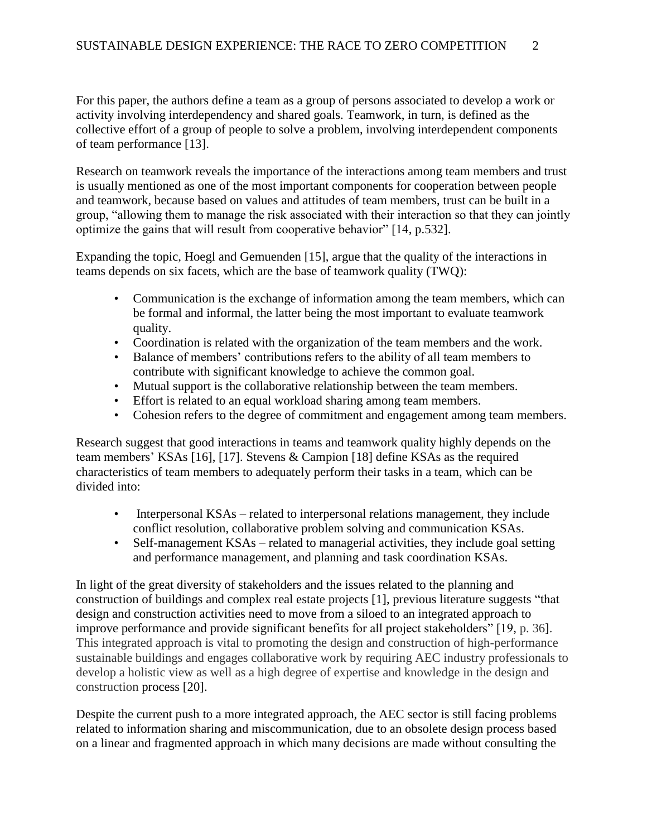For this paper, the authors define a team as a group of persons associated to develop a work or activity involving interdependency and shared goals. Teamwork, in turn, is defined as the collective effort of a group of people to solve a problem, involving interdependent components of team performance [13].

Research on teamwork reveals the importance of the interactions among team members and trust is usually mentioned as one of the most important components for cooperation between people and teamwork, because based on values and attitudes of team members, trust can be built in a group, "allowing them to manage the risk associated with their interaction so that they can jointly optimize the gains that will result from cooperative behavior" [14, p.532].

Expanding the topic, Hoegl and Gemuenden [15], argue that the quality of the interactions in teams depends on six facets, which are the base of teamwork quality (TWQ):

- Communication is the exchange of information among the team members, which can be formal and informal, the latter being the most important to evaluate teamwork quality.
- Coordination is related with the organization of the team members and the work.
- Balance of members' contributions refers to the ability of all team members to contribute with significant knowledge to achieve the common goal.
- Mutual support is the collaborative relationship between the team members.
- Effort is related to an equal workload sharing among team members.
- Cohesion refers to the degree of commitment and engagement among team members.

Research suggest that good interactions in teams and teamwork quality highly depends on the team members' KSAs [16], [17]. Stevens & Campion [18] define KSAs as the required characteristics of team members to adequately perform their tasks in a team, which can be divided into:

- Interpersonal KSAs related to interpersonal relations management, they include conflict resolution, collaborative problem solving and communication KSAs.
- Self-management KSAs related to managerial activities, they include goal setting and performance management, and planning and task coordination KSAs.

In light of the great diversity of stakeholders and the issues related to the planning and construction of buildings and complex real estate projects [1], previous literature suggests "that design and construction activities need to move from a siloed to an integrated approach to improve performance and provide significant benefits for all project stakeholders" [19, p. 36]. This integrated approach is vital to promoting the design and construction of high-performance sustainable buildings and engages collaborative work by requiring AEC industry professionals to develop a holistic view as well as a high degree of expertise and knowledge in the design and construction process [20].

Despite the current push to a more integrated approach, the AEC sector is still facing problems related to information sharing and miscommunication, due to an obsolete design process based on a linear and fragmented approach in which many decisions are made without consulting the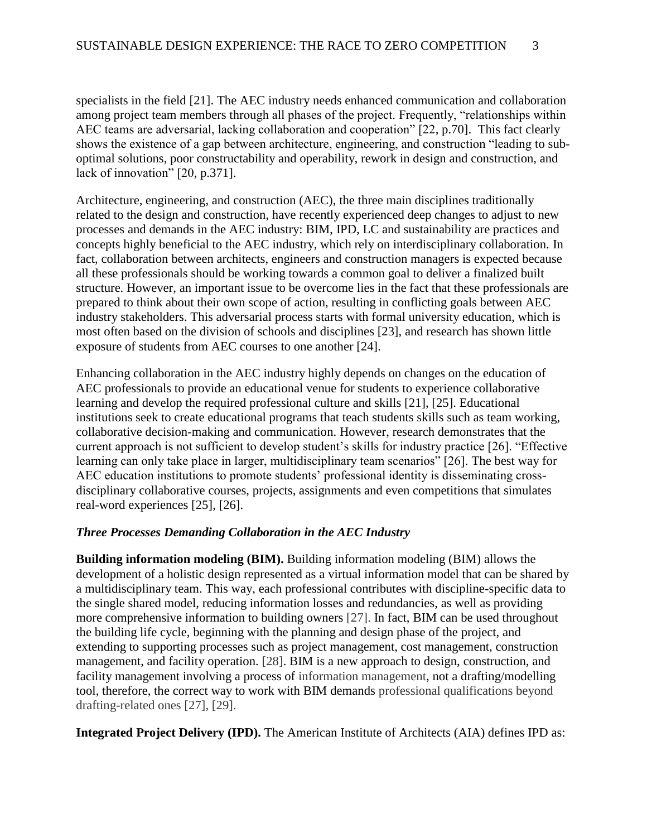specialists in the field [21]. The AEC industry needs enhanced communication and collaboration among project team members through all phases of the project. Frequently, "relationships within AEC teams are adversarial, lacking collaboration and cooperation" [22, p.70]. This fact clearly shows the existence of a gap between architecture, engineering, and construction "leading to suboptimal solutions, poor constructability and operability, rework in design and construction, and lack of innovation" [20, p.371].

Architecture, engineering, and construction (AEC), the three main disciplines traditionally related to the design and construction, have recently experienced deep changes to adjust to new processes and demands in the AEC industry: BIM, IPD, LC and sustainability are practices and concepts highly beneficial to the AEC industry, which rely on interdisciplinary collaboration. In fact, collaboration between architects, engineers and construction managers is expected because all these professionals should be working towards a common goal to deliver a finalized built structure. However, an important issue to be overcome lies in the fact that these professionals are prepared to think about their own scope of action, resulting in conflicting goals between AEC industry stakeholders. This adversarial process starts with formal university education, which is most often based on the division of schools and disciplines [23], and research has shown little exposure of students from AEC courses to one another [24].

Enhancing collaboration in the AEC industry highly depends on changes on the education of AEC professionals to provide an educational venue for students to experience collaborative learning and develop the required professional culture and skills [21], [25]. Educational institutions seek to create educational programs that teach students skills such as team working, collaborative decision-making and communication. However, research demonstrates that the current approach is not sufficient to develop student's skills for industry practice [26]. "Effective learning can only take place in larger, multidisciplinary team scenarios" [26]. The best way for AEC education institutions to promote students' professional identity is disseminating crossdisciplinary collaborative courses, projects, assignments and even competitions that simulates real-word experiences [25], [26].

#### *Three Processes Demanding Collaboration in the AEC Industry*

**Building information modeling (BIM).** Building information modeling (BIM) allows the development of a holistic design represented as a virtual information model that can be shared by a multidisciplinary team. This way, each professional contributes with discipline-specific data to the single shared model, reducing information losses and redundancies, as well as providing more comprehensive information to building owners [27]. In fact, BIM can be used throughout the building life cycle, beginning with the planning and design phase of the project, and extending to supporting processes such as project management, cost management, construction management, and facility operation. [28]. BIM is a new approach to design, construction, and facility management involving a process of information management, not a drafting/modelling tool, therefore, the correct way to work with BIM demands professional qualifications beyond drafting-related ones [27], [29].

**Integrated Project Delivery (IPD).** The American Institute of Architects (AIA) defines IPD as: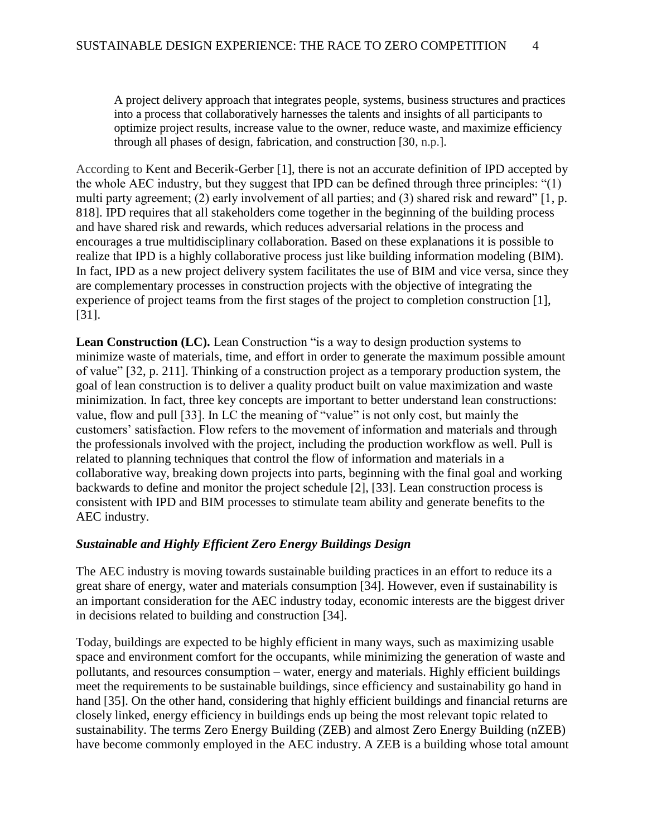A project delivery approach that integrates people, systems, business structures and practices into a process that collaboratively harnesses the talents and insights of all participants to optimize project results, increase value to the owner, reduce waste, and maximize efficiency through all phases of design, fabrication, and construction [30, n.p.].

According to Kent and Becerik-Gerber [1], there is not an accurate definition of IPD accepted by the whole AEC industry, but they suggest that IPD can be defined through three principles: "(1) multi party agreement; (2) early involvement of all parties; and (3) shared risk and reward" [1, p. 818]. IPD requires that all stakeholders come together in the beginning of the building process and have shared risk and rewards, which reduces adversarial relations in the process and encourages a true multidisciplinary collaboration. Based on these explanations it is possible to realize that IPD is a highly collaborative process just like building information modeling (BIM). In fact, IPD as a new project delivery system facilitates the use of BIM and vice versa, since they are complementary processes in construction projects with the objective of integrating the experience of project teams from the first stages of the project to completion construction [1], [31].

**Lean Construction (LC).** Lean Construction "is a way to design production systems to minimize waste of materials, time, and effort in order to generate the maximum possible amount of value" [32, p. 211]. Thinking of a construction project as a temporary production system, the goal of lean construction is to deliver a quality product built on value maximization and waste minimization. In fact, three key concepts are important to better understand lean constructions: value, flow and pull [33]. In LC the meaning of "value" is not only cost, but mainly the customers' satisfaction. Flow refers to the movement of information and materials and through the professionals involved with the project, including the production workflow as well. Pull is related to planning techniques that control the flow of information and materials in a collaborative way, breaking down projects into parts, beginning with the final goal and working backwards to define and monitor the project schedule [2], [33]. Lean construction process is consistent with IPD and BIM processes to stimulate team ability and generate benefits to the AEC industry.

# *Sustainable and Highly Efficient Zero Energy Buildings Design*

The AEC industry is moving towards sustainable building practices in an effort to reduce its a great share of energy, water and materials consumption [34]. However, even if sustainability is an important consideration for the AEC industry today, economic interests are the biggest driver in decisions related to building and construction [34].

Today, buildings are expected to be highly efficient in many ways, such as maximizing usable space and environment comfort for the occupants, while minimizing the generation of waste and pollutants, and resources consumption – water, energy and materials. Highly efficient buildings meet the requirements to be sustainable buildings, since efficiency and sustainability go hand in hand [35]. On the other hand, considering that highly efficient buildings and financial returns are closely linked, energy efficiency in buildings ends up being the most relevant topic related to sustainability. The terms Zero Energy Building (ZEB) and almost Zero Energy Building (nZEB) have become commonly employed in the AEC industry. A ZEB is a building whose total amount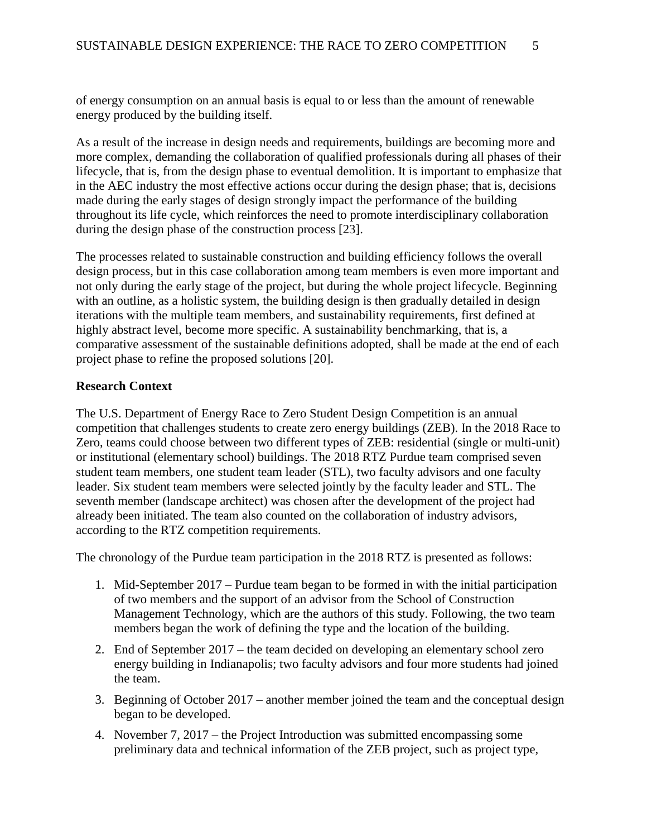of energy consumption on an annual basis is equal to or less than the amount of renewable energy produced by the building itself.

As a result of the increase in design needs and requirements, buildings are becoming more and more complex, demanding the collaboration of qualified professionals during all phases of their lifecycle, that is, from the design phase to eventual demolition. It is important to emphasize that in the AEC industry the most effective actions occur during the design phase; that is, decisions made during the early stages of design strongly impact the performance of the building throughout its life cycle, which reinforces the need to promote interdisciplinary collaboration during the design phase of the construction process [23].

The processes related to sustainable construction and building efficiency follows the overall design process, but in this case collaboration among team members is even more important and not only during the early stage of the project, but during the whole project lifecycle. Beginning with an outline, as a holistic system, the building design is then gradually detailed in design iterations with the multiple team members, and sustainability requirements, first defined at highly abstract level, become more specific. A sustainability benchmarking, that is, a comparative assessment of the sustainable definitions adopted, shall be made at the end of each project phase to refine the proposed solutions [20].

# **Research Context**

The U.S. Department of Energy Race to Zero Student Design Competition is an annual competition that challenges students to create zero energy buildings (ZEB). In the 2018 Race to Zero, teams could choose between two different types of ZEB: residential (single or multi-unit) or institutional (elementary school) buildings. The 2018 RTZ Purdue team comprised seven student team members, one student team leader (STL), two faculty advisors and one faculty leader. Six student team members were selected jointly by the faculty leader and STL. The seventh member (landscape architect) was chosen after the development of the project had already been initiated. The team also counted on the collaboration of industry advisors, according to the RTZ competition requirements.

The chronology of the Purdue team participation in the 2018 RTZ is presented as follows:

- 1. Mid-September 2017 Purdue team began to be formed in with the initial participation of two members and the support of an advisor from the School of Construction Management Technology, which are the authors of this study. Following, the two team members began the work of defining the type and the location of the building.
- 2. End of September 2017 the team decided on developing an elementary school zero energy building in Indianapolis; two faculty advisors and four more students had joined the team.
- 3. Beginning of October 2017 another member joined the team and the conceptual design began to be developed.
- 4. November 7, 2017 the Project Introduction was submitted encompassing some preliminary data and technical information of the ZEB project, such as project type,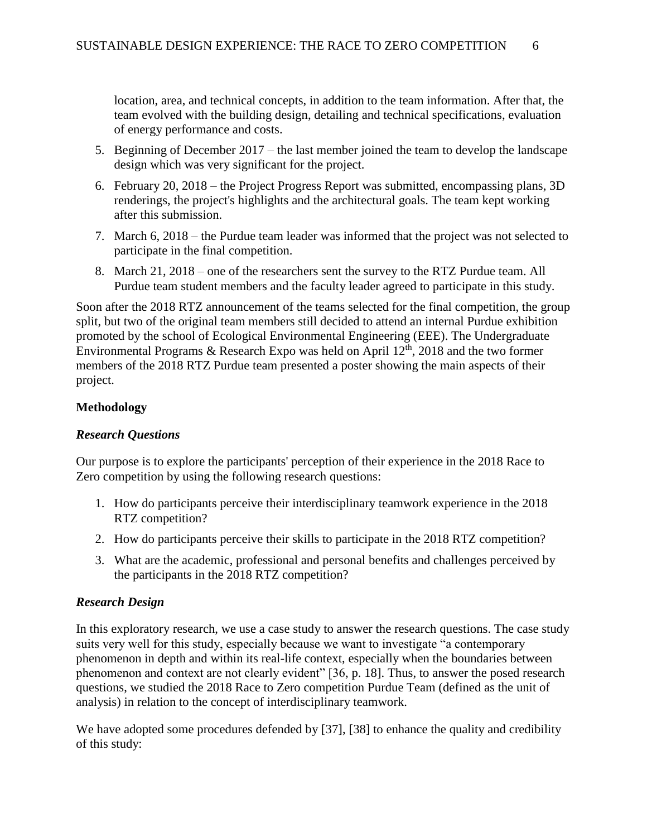location, area, and technical concepts, in addition to the team information. After that, the team evolved with the building design, detailing and technical specifications, evaluation of energy performance and costs.

- 5. Beginning of December 2017 the last member joined the team to develop the landscape design which was very significant for the project.
- 6. February 20, 2018 the Project Progress Report was submitted, encompassing plans, 3D renderings, the project's highlights and the architectural goals. The team kept working after this submission.
- 7. March 6, 2018 the Purdue team leader was informed that the project was not selected to participate in the final competition.
- 8. March 21, 2018 one of the researchers sent the survey to the RTZ Purdue team. All Purdue team student members and the faculty leader agreed to participate in this study.

Soon after the 2018 RTZ announcement of the teams selected for the final competition, the group split, but two of the original team members still decided to attend an internal Purdue exhibition promoted by the school of Ecological Environmental Engineering (EEE). The Undergraduate Environmental Programs & Research Expo was held on April  $12<sup>th</sup>$ , 2018 and the two former members of the 2018 RTZ Purdue team presented a poster showing the main aspects of their project.

# **Methodology**

# *Research Questions*

Our purpose is to explore the participants' perception of their experience in the 2018 Race to Zero competition by using the following research questions:

- 1. How do participants perceive their interdisciplinary teamwork experience in the 2018 RTZ competition?
- 2. How do participants perceive their skills to participate in the 2018 RTZ competition?
- 3. What are the academic, professional and personal benefits and challenges perceived by the participants in the 2018 RTZ competition?

# *Research Design*

In this exploratory research, we use a case study to answer the research questions. The case study suits very well for this study, especially because we want to investigate "a contemporary phenomenon in depth and within its real-life context, especially when the boundaries between phenomenon and context are not clearly evident" [36, p. 18]. Thus, to answer the posed research questions, we studied the 2018 Race to Zero competition Purdue Team (defined as the unit of analysis) in relation to the concept of interdisciplinary teamwork.

We have adopted some procedures defended by [37], [38] to enhance the quality and credibility of this study: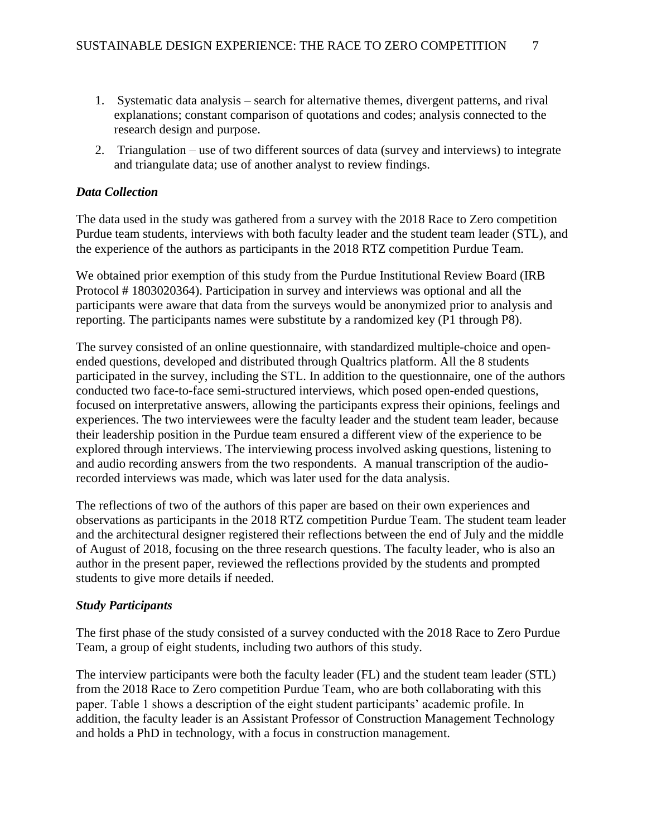- 1. Systematic data analysis search for alternative themes, divergent patterns, and rival explanations; constant comparison of quotations and codes; analysis connected to the research design and purpose.
- 2. Triangulation use of two different sources of data (survey and interviews) to integrate and triangulate data; use of another analyst to review findings.

# *Data Collection*

The data used in the study was gathered from a survey with the 2018 Race to Zero competition Purdue team students, interviews with both faculty leader and the student team leader (STL), and the experience of the authors as participants in the 2018 RTZ competition Purdue Team.

We obtained prior exemption of this study from the Purdue Institutional Review Board (IRB Protocol # 1803020364). Participation in survey and interviews was optional and all the participants were aware that data from the surveys would be anonymized prior to analysis and reporting. The participants names were substitute by a randomized key (P1 through P8).

The survey consisted of an online questionnaire, with standardized multiple-choice and openended questions, developed and distributed through Qualtrics platform. All the 8 students participated in the survey, including the STL. In addition to the questionnaire, one of the authors conducted two face-to-face semi-structured interviews, which posed open-ended questions, focused on interpretative answers, allowing the participants express their opinions, feelings and experiences. The two interviewees were the faculty leader and the student team leader, because their leadership position in the Purdue team ensured a different view of the experience to be explored through interviews. The interviewing process involved asking questions, listening to and audio recording answers from the two respondents. A manual transcription of the audiorecorded interviews was made, which was later used for the data analysis.

The reflections of two of the authors of this paper are based on their own experiences and observations as participants in the 2018 RTZ competition Purdue Team. The student team leader and the architectural designer registered their reflections between the end of July and the middle of August of 2018, focusing on the three research questions. The faculty leader, who is also an author in the present paper, reviewed the reflections provided by the students and prompted students to give more details if needed.

### *Study Participants*

The first phase of the study consisted of a survey conducted with the 2018 Race to Zero Purdue Team, a group of eight students, including two authors of this study.

The interview participants were both the faculty leader (FL) and the student team leader (STL) from the 2018 Race to Zero competition Purdue Team, who are both collaborating with this paper. Table 1 shows a description of the eight student participants' academic profile. In addition, the faculty leader is an Assistant Professor of Construction Management Technology and holds a PhD in technology, with a focus in construction management.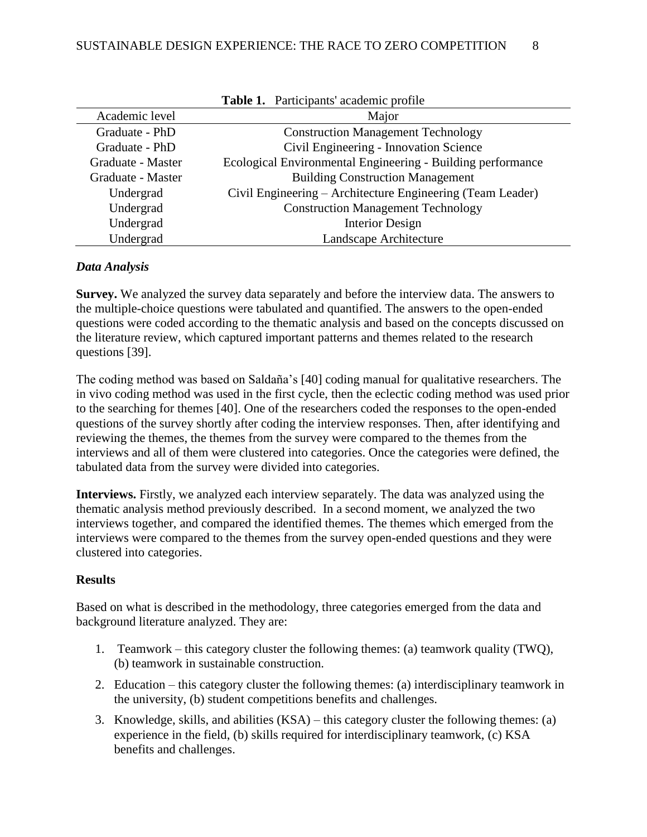|                   | <b>Table 1.</b> Participants' academic profile              |
|-------------------|-------------------------------------------------------------|
| Academic level    | Major                                                       |
| Graduate - PhD    | <b>Construction Management Technology</b>                   |
| Graduate - PhD    | Civil Engineering - Innovation Science                      |
| Graduate - Master | Ecological Environmental Engineering - Building performance |
| Graduate - Master | <b>Building Construction Management</b>                     |
| Undergrad         | Civil Engineering – Architecture Engineering (Team Leader)  |
| Undergrad         | <b>Construction Management Technology</b>                   |
| Undergrad         | Interior Design                                             |
| Undergrad         | Landscape Architecture                                      |

| Table 1. Participants' academic profile |  |  |
|-----------------------------------------|--|--|
|-----------------------------------------|--|--|

### *Data Analysis*

**Survey.** We analyzed the survey data separately and before the interview data. The answers to the multiple-choice questions were tabulated and quantified. The answers to the open-ended questions were coded according to the thematic analysis and based on the concepts discussed on the literature review, which captured important patterns and themes related to the research questions [39].

The coding method was based on Saldaña's [40] coding manual for qualitative researchers. The in vivo coding method was used in the first cycle, then the eclectic coding method was used prior to the searching for themes [40]. One of the researchers coded the responses to the open-ended questions of the survey shortly after coding the interview responses. Then, after identifying and reviewing the themes, the themes from the survey were compared to the themes from the interviews and all of them were clustered into categories. Once the categories were defined, the tabulated data from the survey were divided into categories.

**Interviews.** Firstly, we analyzed each interview separately. The data was analyzed using the thematic analysis method previously described. In a second moment, we analyzed the two interviews together, and compared the identified themes. The themes which emerged from the interviews were compared to the themes from the survey open-ended questions and they were clustered into categories.

# **Results**

Based on what is described in the methodology, three categories emerged from the data and background literature analyzed. They are:

- 1. Teamwork this category cluster the following themes: (a) teamwork quality (TWQ), (b) teamwork in sustainable construction.
- 2. Education this category cluster the following themes: (a) interdisciplinary teamwork in the university, (b) student competitions benefits and challenges.
- 3. Knowledge, skills, and abilities (KSA) this category cluster the following themes: (a) experience in the field, (b) skills required for interdisciplinary teamwork, (c) KSA benefits and challenges.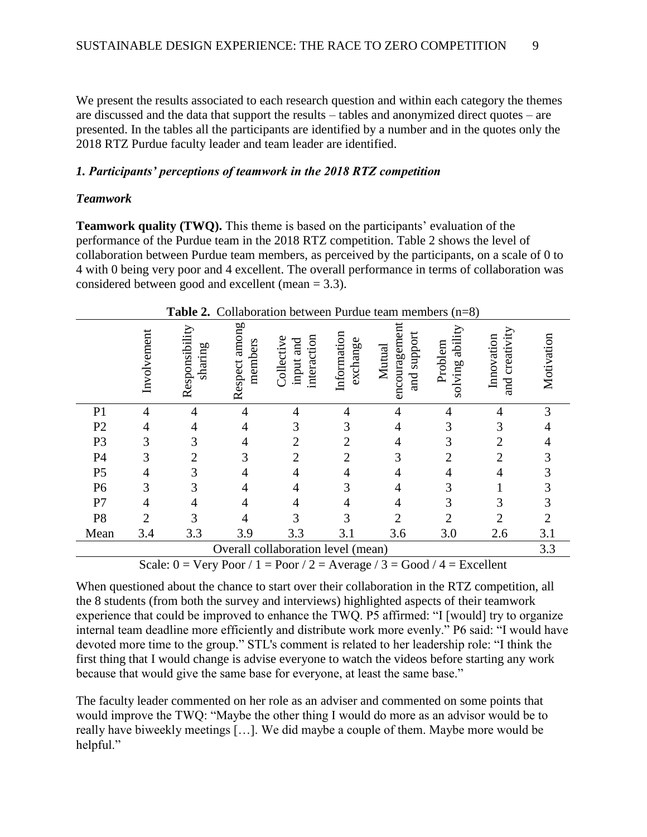We present the results associated to each research question and within each category the themes are discussed and the data that support the results – tables and anonymized direct quotes – are presented. In the tables all the participants are identified by a number and in the quotes only the 2018 RTZ Purdue faculty leader and team leader are identified.

#### *1. Participants' perceptions of teamwork in the 2018 RTZ competition*

#### *Teamwork*

**Teamwork quality (TWQ).** This theme is based on the participants' evaluation of the performance of the Purdue team in the 2018 RTZ competition. Table 2 shows the level of collaboration between Purdue team members, as perceived by the participants, on a scale of 0 to 4 with 0 being very poor and 4 excellent. The overall performance in terms of collaboration was considered between good and excellent (mean = 3.3).

|                                    | Tavit 4.<br>$\mu$ aruut ituunituutus ( $\mu$ – $\sigma$ ) |                           |                          |                                        |                         |                                        |                               |                              |                             |
|------------------------------------|-----------------------------------------------------------|---------------------------|--------------------------|----------------------------------------|-------------------------|----------------------------------------|-------------------------------|------------------------------|-----------------------------|
|                                    | Involvement                                               | Responsibility<br>sharing | Respect among<br>members | interaction<br>Collective<br>input and | Information<br>exchange | encouragement<br>and support<br>Mutual | ability<br>Problem<br>solving | and creativity<br>Innovation | Motivation                  |
| P <sub>1</sub>                     | $\overline{4}$                                            | $\overline{4}$            | 4                        | 4                                      | $\overline{4}$          | $\overline{4}$                         | 4                             | $\overline{4}$               | 3                           |
| P2                                 | 4                                                         | 4                         | 4                        | 3                                      | 3                       | $\overline{4}$                         | 3                             | 3                            | 4                           |
| P <sub>3</sub>                     | 3                                                         | 3                         | 4                        | $\overline{2}$                         | $\overline{2}$          | $\overline{4}$                         | 3                             | $\overline{2}$               | 4                           |
| P <sub>4</sub>                     | 3                                                         | $\overline{2}$            | 3                        | $\overline{2}$                         | $\overline{2}$          | 3                                      | $\overline{2}$                | $\overline{2}$               | 3                           |
| P <sub>5</sub>                     | $\overline{4}$                                            | 3                         | 4                        | 4                                      | 4                       | 4                                      | $\overline{4}$                | $\overline{4}$               | 3                           |
| P <sub>6</sub>                     | 3                                                         | 3                         | 4                        | 4                                      | 3                       | $\overline{4}$                         | 3                             |                              | 3                           |
| P7                                 | $\overline{4}$                                            | $\overline{4}$            | 4                        | $\overline{4}$                         | $\overline{4}$          | $\overline{4}$                         | 3                             | 3                            | 3                           |
| P <sub>8</sub>                     | $\overline{2}$                                            | 3                         | 4                        | 3                                      | 3                       | $\overline{2}$                         | $\overline{2}$                | $\overline{2}$               | $\mathcal{D}_{\mathcal{L}}$ |
| Mean                               | 3.4                                                       | 3.3                       | 3.9                      | 3.3                                    | 3.1                     | 3.6                                    | 3.0                           | 2.6                          | 3.1                         |
| Overall collaboration level (mean) |                                                           |                           |                          |                                        |                         |                                        | 3.3                           |                              |                             |

**Table 2.** Collaboration between Purdue team members (n=8)

Scale:  $0 = \text{Very Poor} / 1 = \text{Poor} / 2 = \text{Average} / 3 = \text{Good} / 4 = \text{Excellent}$ 

When questioned about the chance to start over their collaboration in the RTZ competition, all the 8 students (from both the survey and interviews) highlighted aspects of their teamwork experience that could be improved to enhance the TWQ. P5 affirmed: "I [would] try to organize internal team deadline more efficiently and distribute work more evenly." P6 said: "I would have devoted more time to the group." STL's comment is related to her leadership role: "I think the first thing that I would change is advise everyone to watch the videos before starting any work because that would give the same base for everyone, at least the same base."

The faculty leader commented on her role as an adviser and commented on some points that would improve the TWQ: "Maybe the other thing I would do more as an advisor would be to really have biweekly meetings […]. We did maybe a couple of them. Maybe more would be helpful."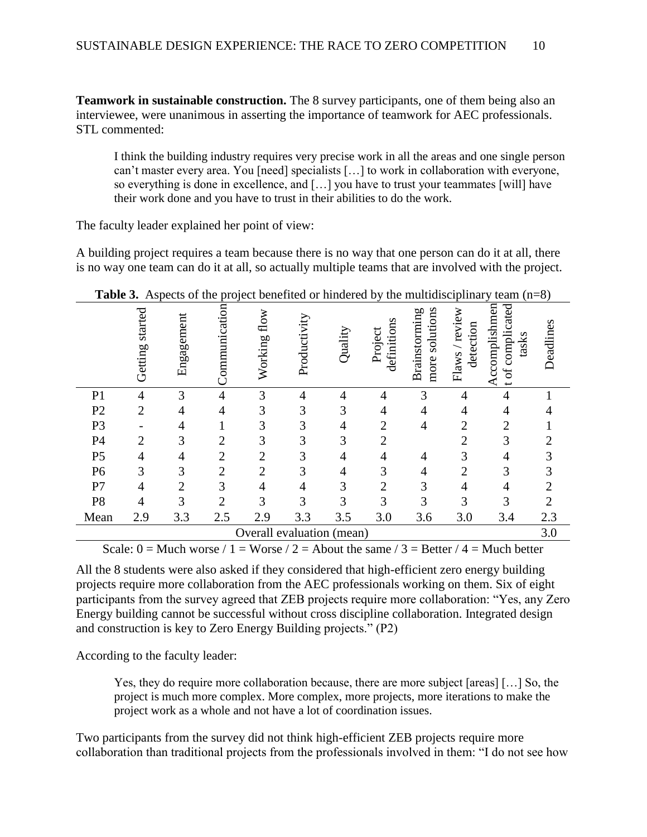**Teamwork in sustainable construction.** The 8 survey participants, one of them being also an interviewee, were unanimous in asserting the importance of teamwork for AEC professionals. STL commented:

I think the building industry requires very precise work in all the areas and one single person can't master every area. You [need] specialists […] to work in collaboration with everyone, so everything is done in excellence, and […] you have to trust your teammates [will] have their work done and you have to trust in their abilities to do the work.

The faculty leader explained her point of view:

A building project requires a team because there is no way that one person can do it at all, there is no way one team can do it at all, so actually multiple teams that are involved with the project.

|                           | Tavit J.<br>$\alpha$ aspects of the project benefited of immerica by the maturisciplinary team $(n-0)$ |                |                |                |                |                |                        |                                 |                             |                                            |                |
|---------------------------|--------------------------------------------------------------------------------------------------------|----------------|----------------|----------------|----------------|----------------|------------------------|---------------------------------|-----------------------------|--------------------------------------------|----------------|
|                           | Getting started                                                                                        | Engagement     | Communication  | Working flow   | Productivity   | Quality        | definitions<br>Project | more solutions<br>Brainstorming | Flaws / review<br>detection | Accomplishmen<br>t of complicated<br>tasks | Deadlines      |
| P <sub>1</sub>            | $\overline{4}$                                                                                         | 3              | $\overline{4}$ | $\mathfrak{Z}$ | $\overline{4}$ | $\overline{4}$ | 4                      | $\mathfrak{Z}$                  | $\overline{4}$              | $\overline{4}$                             |                |
| P2                        | $\overline{2}$                                                                                         | $\overline{4}$ | $\overline{4}$ | 3              | 3              | 3              | $\overline{4}$         | $\overline{4}$                  | $\overline{4}$              | $\overline{4}$                             |                |
| P <sub>3</sub>            |                                                                                                        | $\overline{4}$ |                | 3              | 3              | $\overline{4}$ | $\overline{c}$         | $\overline{4}$                  | $\overline{2}$              | $\overline{2}$                             |                |
| P <sub>4</sub>            | $\overline{2}$                                                                                         | $\mathfrak{Z}$ | $\mathbf{2}$   | $\mathfrak{Z}$ | 3              | 3              | $\overline{2}$         |                                 | $\overline{2}$              | 3                                          | $\overline{2}$ |
| $\mathsf{P}5$             | $\overline{4}$                                                                                         | $\overline{4}$ | $\mathbf{2}$   | $\mathbf{2}$   | 3              | $\overline{4}$ | $\overline{4}$         | $\overline{4}$                  | 3                           | $\overline{4}$                             | 3              |
| P <sub>6</sub>            | 3                                                                                                      | $\mathfrak{Z}$ | $\sqrt{2}$     | $\overline{2}$ | 3              | $\overline{4}$ | 3                      | $\overline{4}$                  | $\overline{2}$              | 3                                          | 3              |
| P7                        | $\overline{4}$                                                                                         | $\overline{2}$ | $\mathfrak{Z}$ | $\overline{4}$ | $\overline{4}$ | $\mathfrak{Z}$ | $\overline{2}$         | 3                               | $\overline{4}$              | $\overline{4}$                             | $\overline{2}$ |
| P <sub>8</sub>            | $\overline{4}$                                                                                         | 3              | $\overline{2}$ | 3              | 3              | 3              | 3                      | 3                               | 3                           | 3                                          | $\sqrt{2}$     |
| Mean                      | 2.9                                                                                                    | 3.3            | 2.5            | 2.9            | 3.3            | 3.5            | 3.0                    | 3.6                             | 3.0                         | 3.4                                        | 2.3            |
| Overall evaluation (mean) |                                                                                                        |                |                |                |                |                |                        | 3.0                             |                             |                                            |                |

**Table 3.** Aspects of the project benefited or hindered by the multidisciplinary team  $(n-8)$ 

Scale:  $0 =$  Much worse  $/ 1 =$  Worse  $/ 2 =$  About the same  $/ 3 =$  Better  $/ 4 =$  Much better

All the 8 students were also asked if they considered that high-efficient zero energy building projects require more collaboration from the AEC professionals working on them. Six of eight participants from the survey agreed that ZEB projects require more collaboration: "Yes, any Zero Energy building cannot be successful without cross discipline collaboration. Integrated design and construction is key to Zero Energy Building projects." (P2)

According to the faculty leader:

Yes, they do require more collaboration because, there are more subject [areas] […] So, the project is much more complex. More complex, more projects, more iterations to make the project work as a whole and not have a lot of coordination issues.

Two participants from the survey did not think high-efficient ZEB projects require more collaboration than traditional projects from the professionals involved in them: "I do not see how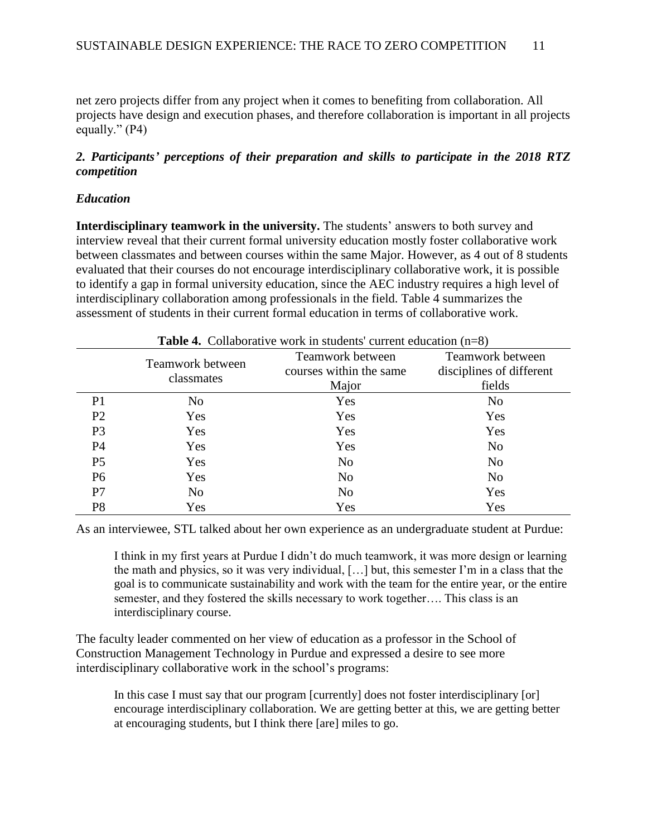net zero projects differ from any project when it comes to benefiting from collaboration. All projects have design and execution phases, and therefore collaboration is important in all projects equally." (P4)

# *2. Participants' perceptions of their preparation and skills to participate in the 2018 RTZ competition*

# *Education*

**Interdisciplinary teamwork in the university.** The students' answers to both survey and interview reveal that their current formal university education mostly foster collaborative work between classmates and between courses within the same Major. However, as 4 out of 8 students evaluated that their courses do not encourage interdisciplinary collaborative work, it is possible to identify a gap in formal university education, since the AEC industry requires a high level of interdisciplinary collaboration among professionals in the field. Table 4 summarizes the assessment of students in their current formal education in terms of collaborative work.

|                | <b>Table 4.</b> Conaborative work in students current equidation $(1\equiv 8)$ |                         |                          |  |  |  |  |
|----------------|--------------------------------------------------------------------------------|-------------------------|--------------------------|--|--|--|--|
|                | Teamwork between                                                               | Teamwork between        | Teamwork between         |  |  |  |  |
|                |                                                                                | courses within the same | disciplines of different |  |  |  |  |
|                | classmates                                                                     | Major                   | fields                   |  |  |  |  |
| P <sub>1</sub> | No                                                                             | Yes                     | No                       |  |  |  |  |
| P <sub>2</sub> | Yes                                                                            | Yes                     | Yes                      |  |  |  |  |
| P <sub>3</sub> | Yes                                                                            | Yes                     | Yes                      |  |  |  |  |
| P4             | Yes                                                                            | Yes                     | N <sub>o</sub>           |  |  |  |  |
| P <sub>5</sub> | Yes                                                                            | N <sub>o</sub>          | N <sub>o</sub>           |  |  |  |  |
| P <sub>6</sub> | Yes                                                                            | N <sub>0</sub>          | No                       |  |  |  |  |
| P7             | No                                                                             | N <sub>0</sub>          | Yes                      |  |  |  |  |
| P <sub>8</sub> | Yes                                                                            | Yes                     | Yes                      |  |  |  |  |

**Table 4.** Collaborative work in students' current education (n=8)

As an interviewee, STL talked about her own experience as an undergraduate student at Purdue:

I think in my first years at Purdue I didn't do much teamwork, it was more design or learning the math and physics, so it was very individual, […] but, this semester I'm in a class that the goal is to communicate sustainability and work with the team for the entire year, or the entire semester, and they fostered the skills necessary to work together…. This class is an interdisciplinary course.

The faculty leader commented on her view of education as a professor in the School of Construction Management Technology in Purdue and expressed a desire to see more interdisciplinary collaborative work in the school's programs:

In this case I must say that our program [currently] does not foster interdisciplinary [or] encourage interdisciplinary collaboration. We are getting better at this, we are getting better at encouraging students, but I think there [are] miles to go.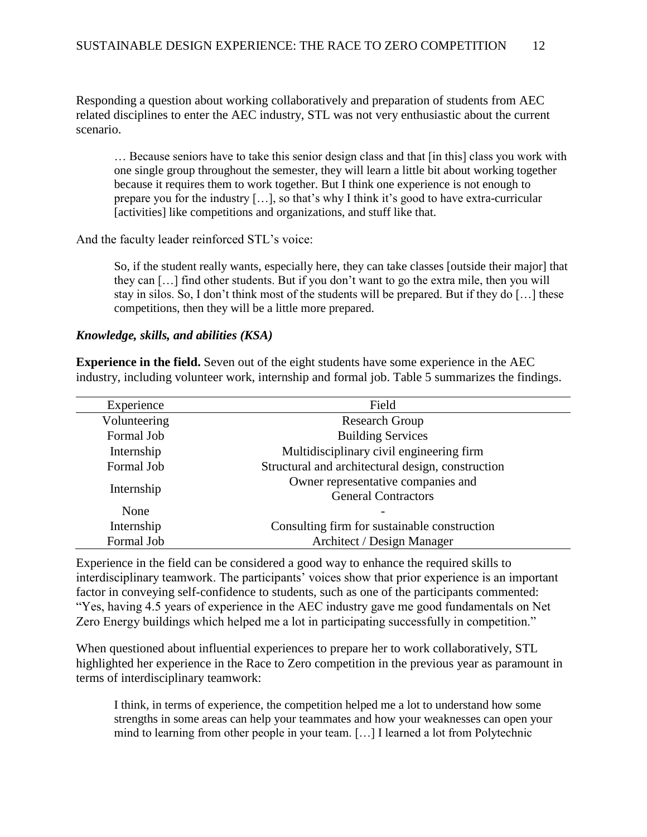Responding a question about working collaboratively and preparation of students from AEC related disciplines to enter the AEC industry, STL was not very enthusiastic about the current scenario.

… Because seniors have to take this senior design class and that [in this] class you work with one single group throughout the semester, they will learn a little bit about working together because it requires them to work together. But I think one experience is not enough to prepare you for the industry […], so that's why I think it's good to have extra-curricular [activities] like competitions and organizations, and stuff like that.

And the faculty leader reinforced STL's voice:

So, if the student really wants, especially here, they can take classes [outside their major] that they can […] find other students. But if you don't want to go the extra mile, then you will stay in silos. So, I don't think most of the students will be prepared. But if they do […] these competitions, then they will be a little more prepared.

### *Knowledge, skills, and abilities (KSA)*

**Experience in the field.** Seven out of the eight students have some experience in the AEC industry, including volunteer work, internship and formal job. Table 5 summarizes the findings.

| Experience   | Field                                             |
|--------------|---------------------------------------------------|
| Volunteering | <b>Research Group</b>                             |
| Formal Job   | <b>Building Services</b>                          |
| Internship   | Multidisciplinary civil engineering firm          |
| Formal Job   | Structural and architectural design, construction |
|              | Owner representative companies and                |
| Internship   | <b>General Contractors</b>                        |
| None         |                                                   |
| Internship   | Consulting firm for sustainable construction      |
| Formal Job   | Architect / Design Manager                        |

Experience in the field can be considered a good way to enhance the required skills to interdisciplinary teamwork. The participants' voices show that prior experience is an important factor in conveying self-confidence to students, such as one of the participants commented: "Yes, having 4.5 years of experience in the AEC industry gave me good fundamentals on Net Zero Energy buildings which helped me a lot in participating successfully in competition."

When questioned about influential experiences to prepare her to work collaboratively, STL highlighted her experience in the Race to Zero competition in the previous year as paramount in terms of interdisciplinary teamwork:

I think, in terms of experience, the competition helped me a lot to understand how some strengths in some areas can help your teammates and how your weaknesses can open your mind to learning from other people in your team. […] I learned a lot from Polytechnic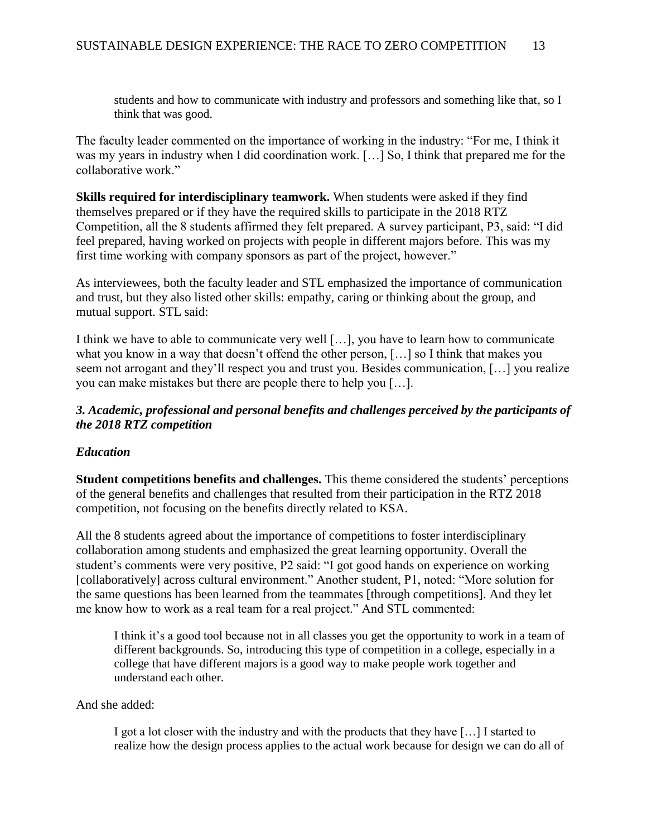students and how to communicate with industry and professors and something like that, so I think that was good.

The faculty leader commented on the importance of working in the industry: "For me, I think it was my years in industry when I did coordination work. […] So, I think that prepared me for the collaborative work."

**Skills required for interdisciplinary teamwork.** When students were asked if they find themselves prepared or if they have the required skills to participate in the 2018 RTZ Competition, all the 8 students affirmed they felt prepared. A survey participant, P3, said: "I did feel prepared, having worked on projects with people in different majors before. This was my first time working with company sponsors as part of the project, however."

As interviewees, both the faculty leader and STL emphasized the importance of communication and trust, but they also listed other skills: empathy, caring or thinking about the group, and mutual support. STL said:

I think we have to able to communicate very well […], you have to learn how to communicate what you know in a way that doesn't offend the other person, […] so I think that makes you seem not arrogant and they'll respect you and trust you. Besides communication, […] you realize you can make mistakes but there are people there to help you […].

# *3. Academic, professional and personal benefits and challenges perceived by the participants of the 2018 RTZ competition*

# *Education*

**Student competitions benefits and challenges.** This theme considered the students' perceptions of the general benefits and challenges that resulted from their participation in the RTZ 2018 competition, not focusing on the benefits directly related to KSA.

All the 8 students agreed about the importance of competitions to foster interdisciplinary collaboration among students and emphasized the great learning opportunity. Overall the student's comments were very positive, P2 said: "I got good hands on experience on working [collaboratively] across cultural environment." Another student, P1, noted: "More solution for the same questions has been learned from the teammates [through competitions]. And they let me know how to work as a real team for a real project." And STL commented:

I think it's a good tool because not in all classes you get the opportunity to work in a team of different backgrounds. So, introducing this type of competition in a college, especially in a college that have different majors is a good way to make people work together and understand each other.

And she added:

I got a lot closer with the industry and with the products that they have […] I started to realize how the design process applies to the actual work because for design we can do all of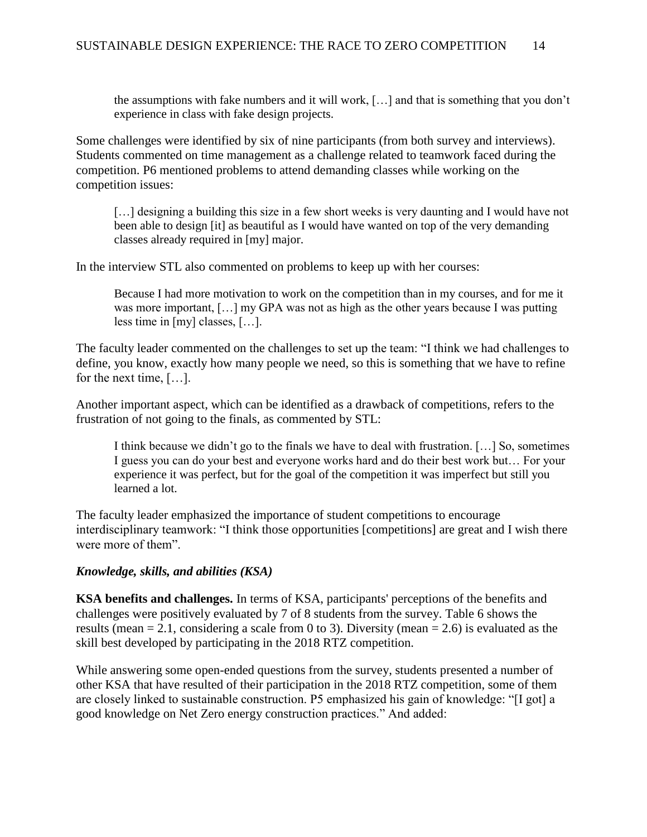the assumptions with fake numbers and it will work, […] and that is something that you don't experience in class with fake design projects.

Some challenges were identified by six of nine participants (from both survey and interviews). Students commented on time management as a challenge related to teamwork faced during the competition. P6 mentioned problems to attend demanding classes while working on the competition issues:

[...] designing a building this size in a few short weeks is very daunting and I would have not been able to design [it] as beautiful as I would have wanted on top of the very demanding classes already required in [my] major.

In the interview STL also commented on problems to keep up with her courses:

Because I had more motivation to work on the competition than in my courses, and for me it was more important, [...] my GPA was not as high as the other years because I was putting less time in [my] classes, […].

The faculty leader commented on the challenges to set up the team: "I think we had challenges to define, you know, exactly how many people we need, so this is something that we have to refine for the next time, […].

Another important aspect, which can be identified as a drawback of competitions, refers to the frustration of not going to the finals, as commented by STL:

I think because we didn't go to the finals we have to deal with frustration. […] So, sometimes I guess you can do your best and everyone works hard and do their best work but… For your experience it was perfect, but for the goal of the competition it was imperfect but still you learned a lot.

The faculty leader emphasized the importance of student competitions to encourage interdisciplinary teamwork: "I think those opportunities [competitions] are great and I wish there were more of them".

### *Knowledge, skills, and abilities (KSA)*

**KSA benefits and challenges.** In terms of KSA, participants' perceptions of the benefits and challenges were positively evaluated by 7 of 8 students from the survey. Table 6 shows the results (mean  $= 2.1$ , considering a scale from 0 to 3). Diversity (mean  $= 2.6$ ) is evaluated as the skill best developed by participating in the 2018 RTZ competition.

While answering some open-ended questions from the survey, students presented a number of other KSA that have resulted of their participation in the 2018 RTZ competition, some of them are closely linked to sustainable construction. P5 emphasized his gain of knowledge: "[I got] a good knowledge on Net Zero energy construction practices." And added: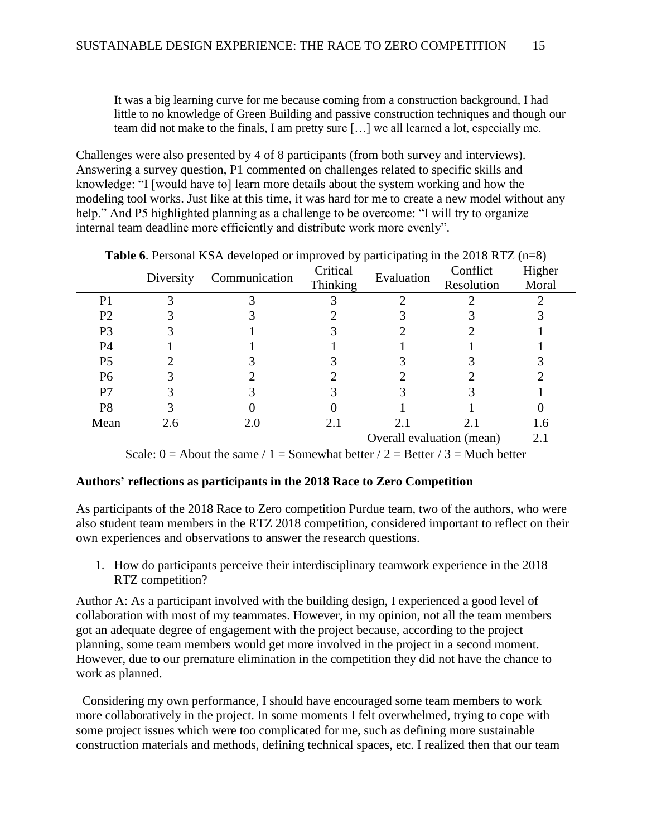It was a big learning curve for me because coming from a construction background, I had little to no knowledge of Green Building and passive construction techniques and though our team did not make to the finals, I am pretty sure […] we all learned a lot, especially me.

Challenges were also presented by 4 of 8 participants (from both survey and interviews). Answering a survey question, P1 commented on challenges related to specific skills and knowledge: "I [would have to] learn more details about the system working and how the modeling tool works. Just like at this time, it was hard for me to create a new model without any help." And P5 highlighted planning as a challenge to be overcome: "I will try to organize internal team deadline more efficiently and distribute work more evenly".

|                | Diversity | Communication | Critical<br>Evaluation |                           | Conflict   | Higher |
|----------------|-----------|---------------|------------------------|---------------------------|------------|--------|
|                |           |               | Thinking               |                           | Resolution | Moral  |
| P <sub>1</sub> |           |               |                        |                           |            |        |
| P <sub>2</sub> |           |               |                        |                           |            |        |
| P3             |           |               |                        |                           |            |        |
| P4             |           |               |                        |                           |            |        |
| P <sub>5</sub> |           |               |                        |                           |            |        |
| P <sub>6</sub> |           |               |                        |                           |            |        |
| P7             |           |               |                        |                           |            |        |
| P <sub>8</sub> |           |               |                        |                           |            |        |
| Mean           | 2.6       | 2.0           | 2.1                    | 2.1                       | 2.1        | 1.6    |
|                |           |               |                        | Overall evaluation (mean) |            | 2.1    |

**Table 6**. Personal KSA developed or improved by participating in the 2018 RTZ (n=8)

Scale:  $0 =$  About the same / 1 = Somewhat better / 2 = Better / 3 = Much better

#### **Authors' reflections as participants in the 2018 Race to Zero Competition**

As participants of the 2018 Race to Zero competition Purdue team, two of the authors, who were also student team members in the RTZ 2018 competition, considered important to reflect on their own experiences and observations to answer the research questions.

1. How do participants perceive their interdisciplinary teamwork experience in the 2018 RTZ competition?

Author A: As a participant involved with the building design, I experienced a good level of collaboration with most of my teammates. However, in my opinion, not all the team members got an adequate degree of engagement with the project because, according to the project planning, some team members would get more involved in the project in a second moment. However, due to our premature elimination in the competition they did not have the chance to work as planned.

 Considering my own performance, I should have encouraged some team members to work more collaboratively in the project. In some moments I felt overwhelmed, trying to cope with some project issues which were too complicated for me, such as defining more sustainable construction materials and methods, defining technical spaces, etc. I realized then that our team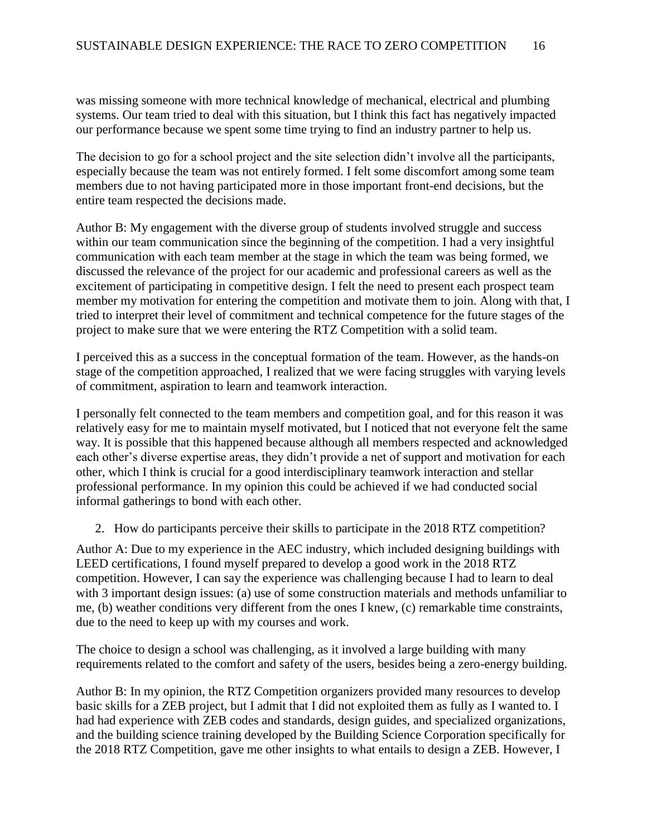was missing someone with more technical knowledge of mechanical, electrical and plumbing systems. Our team tried to deal with this situation, but I think this fact has negatively impacted our performance because we spent some time trying to find an industry partner to help us.

The decision to go for a school project and the site selection didn't involve all the participants, especially because the team was not entirely formed. I felt some discomfort among some team members due to not having participated more in those important front-end decisions, but the entire team respected the decisions made.

Author B: My engagement with the diverse group of students involved struggle and success within our team communication since the beginning of the competition. I had a very insightful communication with each team member at the stage in which the team was being formed, we discussed the relevance of the project for our academic and professional careers as well as the excitement of participating in competitive design. I felt the need to present each prospect team member my motivation for entering the competition and motivate them to join. Along with that, I tried to interpret their level of commitment and technical competence for the future stages of the project to make sure that we were entering the RTZ Competition with a solid team.

I perceived this as a success in the conceptual formation of the team. However, as the hands-on stage of the competition approached, I realized that we were facing struggles with varying levels of commitment, aspiration to learn and teamwork interaction.

I personally felt connected to the team members and competition goal, and for this reason it was relatively easy for me to maintain myself motivated, but I noticed that not everyone felt the same way. It is possible that this happened because although all members respected and acknowledged each other's diverse expertise areas, they didn't provide a net of support and motivation for each other, which I think is crucial for a good interdisciplinary teamwork interaction and stellar professional performance. In my opinion this could be achieved if we had conducted social informal gatherings to bond with each other.

2. How do participants perceive their skills to participate in the 2018 RTZ competition?

Author A: Due to my experience in the AEC industry, which included designing buildings with LEED certifications, I found myself prepared to develop a good work in the 2018 RTZ competition. However, I can say the experience was challenging because I had to learn to deal with 3 important design issues: (a) use of some construction materials and methods unfamiliar to me, (b) weather conditions very different from the ones I knew, (c) remarkable time constraints, due to the need to keep up with my courses and work.

The choice to design a school was challenging, as it involved a large building with many requirements related to the comfort and safety of the users, besides being a zero-energy building.

Author B: In my opinion, the RTZ Competition organizers provided many resources to develop basic skills for a ZEB project, but I admit that I did not exploited them as fully as I wanted to. I had had experience with ZEB codes and standards, design guides, and specialized organizations, and the building science training developed by the Building Science Corporation specifically for the 2018 RTZ Competition, gave me other insights to what entails to design a ZEB. However, I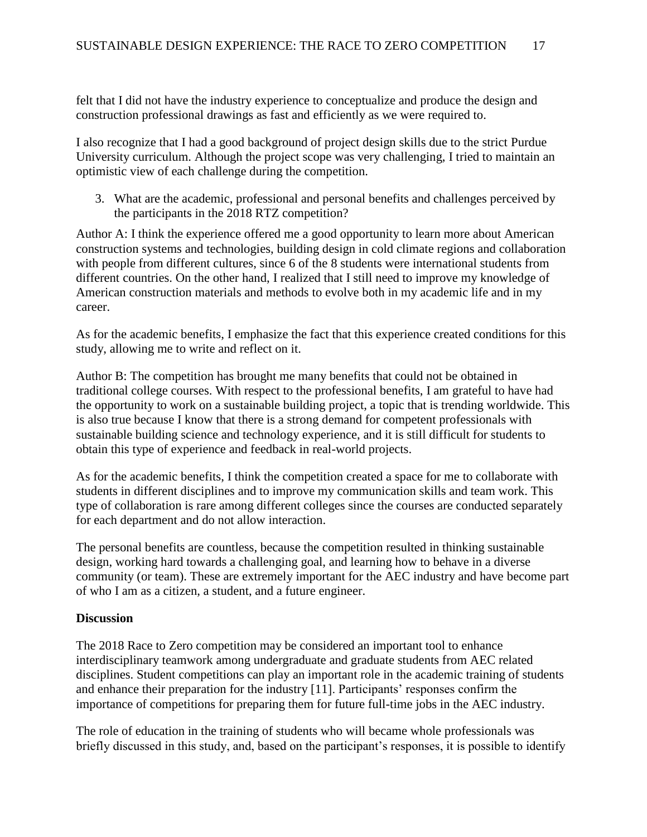felt that I did not have the industry experience to conceptualize and produce the design and construction professional drawings as fast and efficiently as we were required to.

I also recognize that I had a good background of project design skills due to the strict Purdue University curriculum. Although the project scope was very challenging, I tried to maintain an optimistic view of each challenge during the competition.

3. What are the academic, professional and personal benefits and challenges perceived by the participants in the 2018 RTZ competition?

Author A: I think the experience offered me a good opportunity to learn more about American construction systems and technologies, building design in cold climate regions and collaboration with people from different cultures, since 6 of the 8 students were international students from different countries. On the other hand, I realized that I still need to improve my knowledge of American construction materials and methods to evolve both in my academic life and in my career.

As for the academic benefits, I emphasize the fact that this experience created conditions for this study, allowing me to write and reflect on it.

Author B: The competition has brought me many benefits that could not be obtained in traditional college courses. With respect to the professional benefits, I am grateful to have had the opportunity to work on a sustainable building project, a topic that is trending worldwide. This is also true because I know that there is a strong demand for competent professionals with sustainable building science and technology experience, and it is still difficult for students to obtain this type of experience and feedback in real-world projects.

As for the academic benefits, I think the competition created a space for me to collaborate with students in different disciplines and to improve my communication skills and team work. This type of collaboration is rare among different colleges since the courses are conducted separately for each department and do not allow interaction.

The personal benefits are countless, because the competition resulted in thinking sustainable design, working hard towards a challenging goal, and learning how to behave in a diverse community (or team). These are extremely important for the AEC industry and have become part of who I am as a citizen, a student, and a future engineer.

### **Discussion**

The 2018 Race to Zero competition may be considered an important tool to enhance interdisciplinary teamwork among undergraduate and graduate students from AEC related disciplines. Student competitions can play an important role in the academic training of students and enhance their preparation for the industry [11]. Participants' responses confirm the importance of competitions for preparing them for future full-time jobs in the AEC industry.

The role of education in the training of students who will became whole professionals was briefly discussed in this study, and, based on the participant's responses, it is possible to identify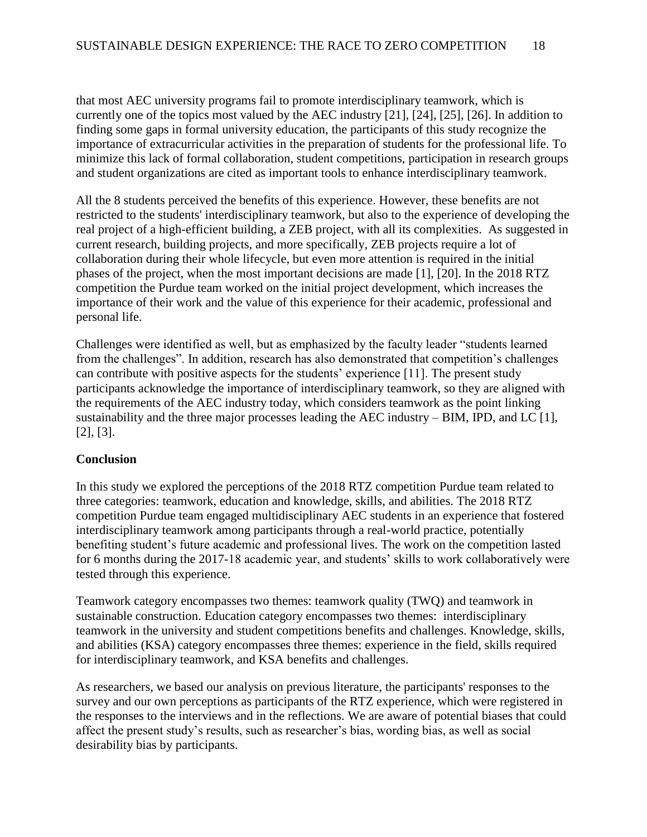that most AEC university programs fail to promote interdisciplinary teamwork, which is currently one of the topics most valued by the AEC industry [21], [24], [25], [26]. In addition to finding some gaps in formal university education, the participants of this study recognize the importance of extracurricular activities in the preparation of students for the professional life. To minimize this lack of formal collaboration, student competitions, participation in research groups and student organizations are cited as important tools to enhance interdisciplinary teamwork.

All the 8 students perceived the benefits of this experience. However, these benefits are not restricted to the students' interdisciplinary teamwork, but also to the experience of developing the real project of a high-efficient building, a ZEB project, with all its complexities. As suggested in current research, building projects, and more specifically, ZEB projects require a lot of collaboration during their whole lifecycle, but even more attention is required in the initial phases of the project, when the most important decisions are made [1], [20]. In the 2018 RTZ competition the Purdue team worked on the initial project development, which increases the importance of their work and the value of this experience for their academic, professional and personal life.

Challenges were identified as well, but as emphasized by the faculty leader "students learned from the challenges". In addition, research has also demonstrated that competition's challenges can contribute with positive aspects for the students' experience [11]. The present study participants acknowledge the importance of interdisciplinary teamwork, so they are aligned with the requirements of the AEC industry today, which considers teamwork as the point linking sustainability and the three major processes leading the AEC industry – BIM, IPD, and LC [1], [2], [3].

# **Conclusion**

In this study we explored the perceptions of the 2018 RTZ competition Purdue team related to three categories: teamwork, education and knowledge, skills, and abilities. The 2018 RTZ competition Purdue team engaged multidisciplinary AEC students in an experience that fostered interdisciplinary teamwork among participants through a real-world practice, potentially benefiting student's future academic and professional lives. The work on the competition lasted for 6 months during the 2017-18 academic year, and students' skills to work collaboratively were tested through this experience.

Teamwork category encompasses two themes: teamwork quality (TWQ) and teamwork in sustainable construction. Education category encompasses two themes: interdisciplinary teamwork in the university and student competitions benefits and challenges. Knowledge, skills, and abilities (KSA) category encompasses three themes: experience in the field, skills required for interdisciplinary teamwork, and KSA benefits and challenges.

As researchers, we based our analysis on previous literature, the participants' responses to the survey and our own perceptions as participants of the RTZ experience, which were registered in the responses to the interviews and in the reflections. We are aware of potential biases that could affect the present study's results, such as researcher's bias, wording bias, as well as social desirability bias by participants.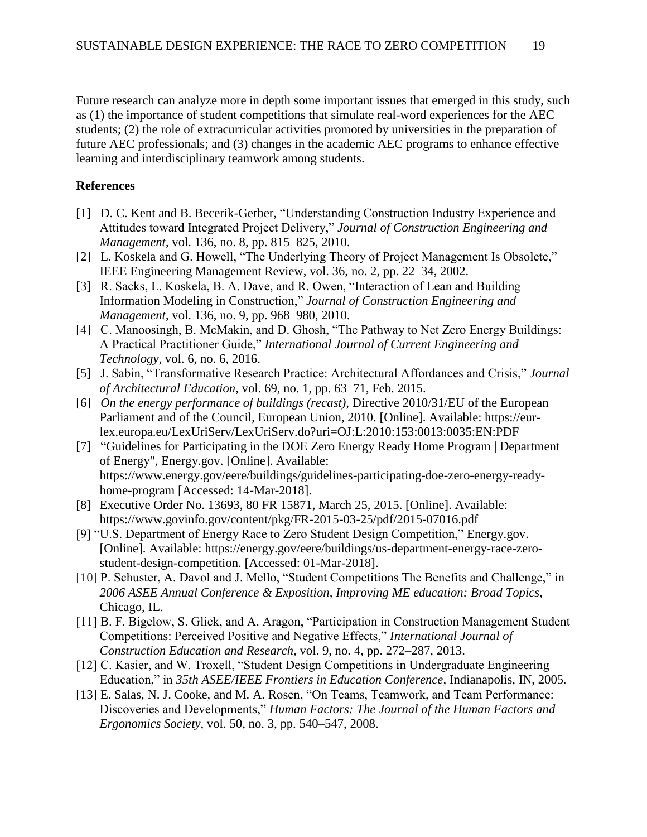Future research can analyze more in depth some important issues that emerged in this study, such as (1) the importance of student competitions that simulate real-word experiences for the AEC students; (2) the role of extracurricular activities promoted by universities in the preparation of future AEC professionals; and (3) changes in the academic AEC programs to enhance effective learning and interdisciplinary teamwork among students.

# **References**

- [1] D. C. Kent and B. Becerik-Gerber, "Understanding Construction Industry Experience and Attitudes toward Integrated Project Delivery," *Journal of Construction Engineering and Management*, vol. 136, no. 8, pp. 815–825, 2010.
- [2] L. Koskela and G. Howell, "The Underlying Theory of Project Management Is Obsolete," IEEE Engineering Management Review, vol. 36, no. 2, pp. 22–34, 2002.
- [3] R. Sacks, L. Koskela, B. A. Dave, and R. Owen, "Interaction of Lean and Building Information Modeling in Construction," *Journal of Construction Engineering and Management*, vol. 136, no. 9, pp. 968–980, 2010.
- [4] C. Manoosingh, B. McMakin, and D. Ghosh, "The Pathway to Net Zero Energy Buildings: A Practical Practitioner Guide," *International Journal of Current Engineering and Technology*, vol. 6, no. 6, 2016.
- [5] J. Sabin, "Transformative Research Practice: Architectural Affordances and Crisis," *Journal of Architectural Education*, vol. 69, no. 1, pp. 63–71, Feb. 2015.
- [6] *On the energy performance of buildings (recast),* Directive 2010/31/EU of the European Parliament and of the Council, European Union, 2010. [Online]. Available: https://eurlex.europa.eu/LexUriServ/LexUriServ.do?uri=OJ:L:2010:153:0013:0035:EN:PDF
- [7] "Guidelines for Participating in the DOE Zero Energy Ready Home Program | Department of Energy", Energy.gov. [Online]. Available: https://www.energy.gov/eere/buildings/guidelines-participating-doe-zero-energy-readyhome-program [Accessed: 14-Mar-2018].
- [8] Executive Order No. 13693, 80 FR 15871, March 25, 2015. [Online]. Available: https://www.govinfo.gov/content/pkg/FR-2015-03-25/pdf/2015-07016.pdf
- [9] "U.S. Department of Energy Race to Zero Student Design Competition," Energy.gov. [Online]. Available: https://energy.gov/eere/buildings/us-department-energy-race-zerostudent-design-competition. [Accessed: 01-Mar-2018].
- [10] P. Schuster, A. Davol and J. Mello, "Student Competitions The Benefits and Challenge," in *2006 ASEE Annual Conference & Exposition, Improving ME education: Broad Topics,* Chicago, IL.
- [11] B. F. Bigelow, S. Glick, and A. Aragon, "Participation in Construction Management Student Competitions: Perceived Positive and Negative Effects," *International Journal of Construction Education and Research*, vol. 9, no. 4, pp. 272–287, 2013.
- [12] C. Kasier, and W. Troxell, "Student Design Competitions in Undergraduate Engineering Education," in *35th ASEE/IEEE Frontiers in Education Conference*, Indianapolis, IN, 2005*.*
- [13] E. Salas, N. J. Cooke, and M. A. Rosen, "On Teams, Teamwork, and Team Performance: Discoveries and Developments," *Human Factors: The Journal of the Human Factors and Ergonomics Society*, vol. 50, no. 3, pp. 540–547, 2008.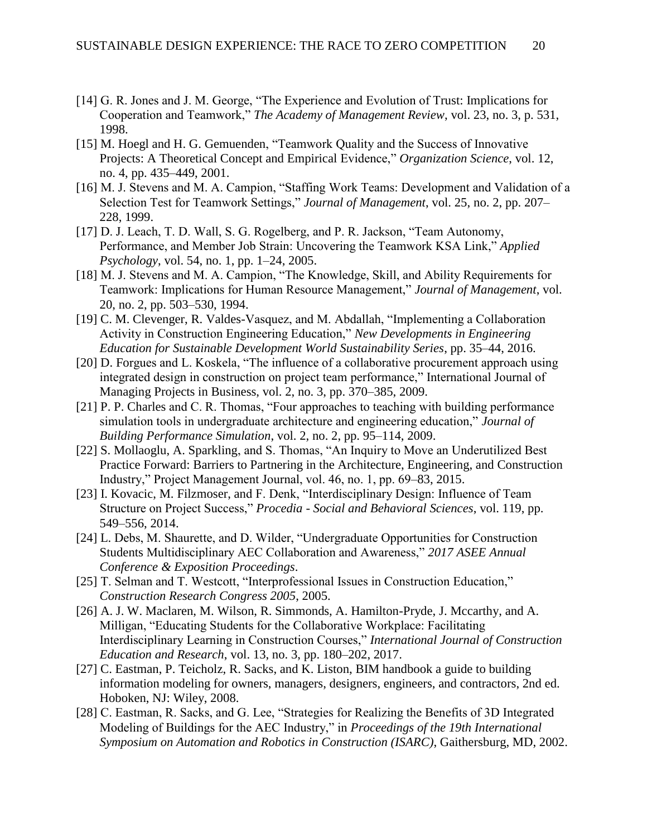- [14] G. R. Jones and J. M. George, "The Experience and Evolution of Trust: Implications for Cooperation and Teamwork," *The Academy of Management Review*, vol. 23, no. 3, p. 531, 1998.
- [15] M. Hoegl and H. G. Gemuenden, "Teamwork Quality and the Success of Innovative Projects: A Theoretical Concept and Empirical Evidence," *Organization Science*, vol. 12, no. 4, pp. 435–449, 2001.
- [16] M. J. Stevens and M. A. Campion, "Staffing Work Teams: Development and Validation of a Selection Test for Teamwork Settings," *Journal of Management*, vol. 25, no. 2, pp. 207– 228, 1999.
- [17] D. J. Leach, T. D. Wall, S. G. Rogelberg, and P. R. Jackson, "Team Autonomy, Performance, and Member Job Strain: Uncovering the Teamwork KSA Link," *Applied Psychology*, vol. 54, no. 1, pp. 1–24, 2005.
- [18] M. J. Stevens and M. A. Campion, "The Knowledge, Skill, and Ability Requirements for Teamwork: Implications for Human Resource Management," *Journal of Management*, vol. 20, no. 2, pp. 503–530, 1994.
- [19] C. M. Clevenger, R. Valdes-Vasquez, and M. Abdallah, "Implementing a Collaboration Activity in Construction Engineering Education," *New Developments in Engineering Education for Sustainable Development World Sustainability Series*, pp. 35–44, 2016.
- [20] D. Forgues and L. Koskela, "The influence of a collaborative procurement approach using integrated design in construction on project team performance," International Journal of Managing Projects in Business, vol. 2, no. 3, pp. 370–385, 2009.
- [21] P. P. Charles and C. R. Thomas, "Four approaches to teaching with building performance simulation tools in undergraduate architecture and engineering education," *Journal of Building Performance Simulation*, vol. 2, no. 2, pp. 95–114, 2009.
- [22] S. Mollaoglu, A. Sparkling, and S. Thomas, "An Inquiry to Move an Underutilized Best Practice Forward: Barriers to Partnering in the Architecture, Engineering, and Construction Industry," Project Management Journal, vol. 46, no. 1, pp. 69–83, 2015.
- [23] I. Kovacic, M. Filzmoser, and F. Denk, "Interdisciplinary Design: Influence of Team Structure on Project Success," *Procedia - Social and Behavioral Sciences*, vol. 119, pp. 549–556, 2014.
- [24] L. Debs, M. Shaurette, and D. Wilder, "Undergraduate Opportunities for Construction Students Multidisciplinary AEC Collaboration and Awareness," *2017 ASEE Annual Conference & Exposition Proceedings*.
- [25] T. Selman and T. Westcott, "Interprofessional Issues in Construction Education," *Construction Research Congress 2005*, 2005.
- [26] A. J. W. Maclaren, M. Wilson, R. Simmonds, A. Hamilton-Pryde, J. Mccarthy, and A. Milligan, "Educating Students for the Collaborative Workplace: Facilitating Interdisciplinary Learning in Construction Courses," *International Journal of Construction Education and Research*, vol. 13, no. 3, pp. 180–202, 2017.
- [27] C. Eastman, P. Teicholz, R. Sacks, and K. Liston, BIM handbook a guide to building information modeling for owners, managers, designers, engineers, and contractors, 2nd ed. Hoboken, NJ: Wiley, 2008.
- [28] C. Eastman, R. Sacks, and G. Lee, "Strategies for Realizing the Benefits of 3D Integrated Modeling of Buildings for the AEC Industry," in *Proceedings of the 19th International Symposium on Automation and Robotics in Construction (ISARC)*, Gaithersburg, MD, 2002.